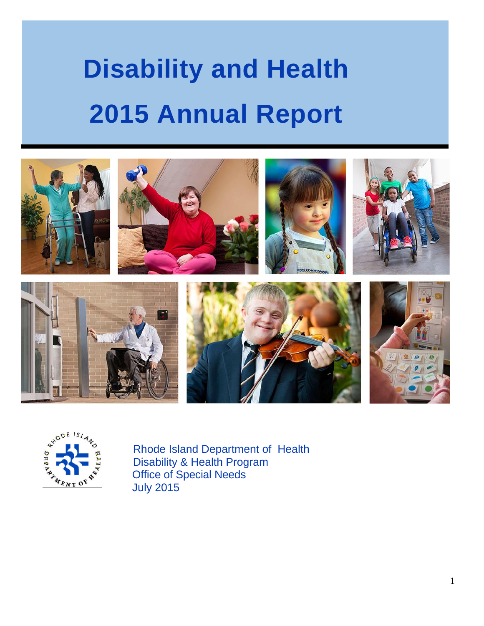# **Disability and Health 2015 Annual Report**





Rhode Island Department of Health Disability & Health Program Office of Special Needs July 2015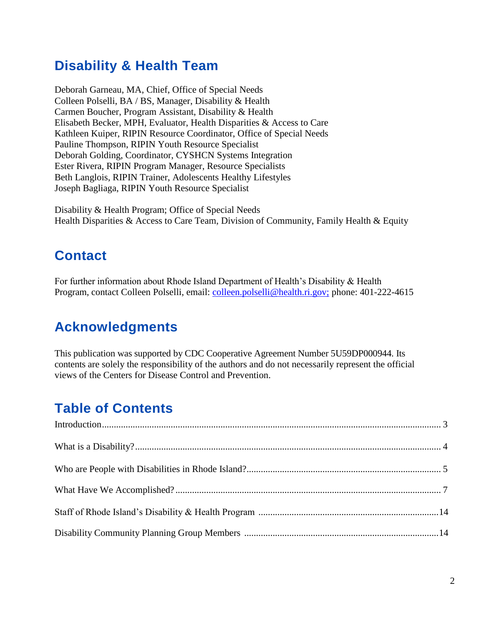# **Disability & Health Team**

Deborah Garneau, MA, Chief, Office of Special Needs Colleen Polselli, BA / BS, Manager, Disability & Health Carmen Boucher, Program Assistant, Disability & Health Elisabeth Becker, MPH, Evaluator, Health Disparities & Access to Care Kathleen Kuiper, RIPIN Resource Coordinator, Office of Special Needs Pauline Thompson, RIPIN Youth Resource Specialist Deborah Golding, Coordinator, CYSHCN Systems Integration Ester Rivera, RIPIN Program Manager, Resource Specialists Beth Langlois, RIPIN Trainer, Adolescents Healthy Lifestyles Joseph Bagliaga, RIPIN Youth Resource Specialist

Disability & Health Program; Office of Special Needs Health Disparities & Access to Care Team, Division of Community, Family Health & Equity

## **Contact**

For further information about Rhode Island Department of Health's Disability & Health Program, contact Colleen Polselli, email: [colleen.polselli@health.ri.gov;](mailto:colleen.polselli@health.ri.gov;) phone: 401-222-4615

## **Acknowledgments**

This publication was supported by CDC Cooperative Agreement Number 5U59DP000944. Its contents are solely the responsibility of the authors and do not necessarily represent the official views of the Centers for Disease Control and Prevention.

# **Table of Contents**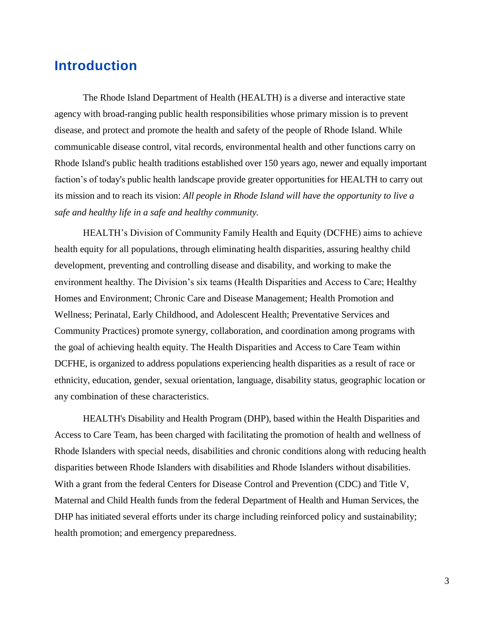## **Introduction**

The Rhode Island Department of Health (HEALTH) is a diverse and interactive state agency with broad-ranging public health responsibilities whose primary mission is to prevent disease, and protect and promote the health and safety of the people of Rhode Island. While communicable disease control, vital records, environmental health and other functions carry on Rhode Island's public health traditions established over 150 years ago, newer and equally important faction's of today's public health landscape provide greater opportunities for HEALTH to carry out its mission and to reach its vision: *All people in Rhode Island will have the opportunity to live a safe and healthy life in a safe and healthy community.*

HEALTH's Division of Community Family Health and Equity (DCFHE) aims to achieve health equity for all populations, through eliminating health disparities, assuring healthy child development, preventing and controlling disease and disability, and working to make the environment healthy. The Division's six teams (Health Disparities and Access to Care; Healthy Homes and Environment; Chronic Care and Disease Management; Health Promotion and Wellness; Perinatal, Early Childhood, and Adolescent Health; Preventative Services and Community Practices) promote synergy, collaboration, and coordination among programs with the goal of achieving health equity. The Health Disparities and Access to Care Team within DCFHE, is organized to address populations experiencing health disparities as a result of race or ethnicity, education, gender, sexual orientation, language, disability status, geographic location or any combination of these characteristics.

HEALTH's Disability and Health Program (DHP), based within the Health Disparities and Access to Care Team, has been charged with facilitating the promotion of health and wellness of Rhode Islanders with special needs, disabilities and chronic conditions along with reducing health disparities between Rhode Islanders with disabilities and Rhode Islanders without disabilities. With a grant from the federal Centers for Disease Control and Prevention (CDC) and Title V, Maternal and Child Health funds from the federal Department of Health and Human Services, the DHP has initiated several efforts under its charge including reinforced policy and sustainability; health promotion; and emergency preparedness.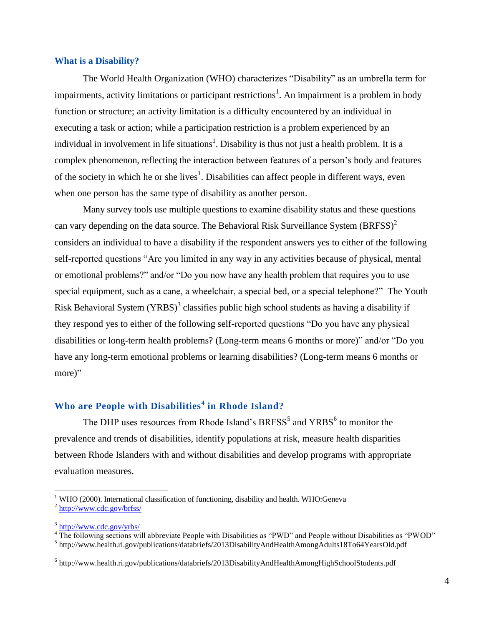#### **What is a Disability?**

The World Health Organization (WHO) characterizes "Disability" as an umbrella term for impairments, activity limitations or participant restrictions<sup>1</sup>. An impairment is a problem in body function or structure; an activity limitation is a difficulty encountered by an individual in executing a task or action; while a participation restriction is a problem experienced by an individual in involvement in life situations<sup>1</sup>. Disability is thus not just a health problem. It is a complex phenomenon, reflecting the interaction between features of a person's body and features of the society in which he or she lives<sup>1</sup>. Disabilities can affect people in different ways, even when one person has the same type of disability as another person.

Many survey tools use multiple questions to examine disability status and these questions can vary depending on the data source. The Behavioral Risk Surveillance System  $(BRFSS)^2$ considers an individual to have a disability if the respondent answers yes to either of the following self-reported questions "Are you limited in any way in any activities because of physical, mental or emotional problems?" and/or "Do you now have any health problem that requires you to use special equipment, such as a cane, a wheelchair, a special bed, or a special telephone?" The Youth Risk Behavioral System (YRBS)<sup>3</sup> classifies public high school students as having a disability if they respond yes to either of the following self-reported questions "Do you have any physical disabilities or long-term health problems? (Long-term means 6 months or more)" and/or "Do you have any long-term emotional problems or learning disabilities? (Long-term means 6 months or more)"

#### **Who are People with Disabilities<sup>4</sup> in Rhode Island?**

The DHP uses resources from Rhode Island's BRFSS<sup>5</sup> and  $YRBS<sup>6</sup>$  to monitor the prevalence and trends of disabilities, identify populations at risk, measure health disparities between Rhode Islanders with and without disabilities and develop programs with appropriate evaluation measures.

 $\overline{a}$ 

 $1$  WHO (2000). International classification of functioning, disability and health. WHO:Geneva <sup>2</sup> <http://www.cdc.gov/brfss/>

<sup>&</sup>lt;sup>3</sup> <http://www.cdc.gov/yrbs/>

<sup>&</sup>lt;sup>4</sup> The following sections will abbreviate People with Disabilities as "PWD" and People without Disabilities as "PWOD"

<sup>&</sup>lt;sup>5</sup> http://www.health.ri.gov/publications/databriefs/2013DisabilityAndHealthAmongAdults18To64YearsOld.pdf

<sup>&</sup>lt;sup>6</sup> http://www.health.ri.gov/publications/databriefs/2013DisabilityAndHealthAmongHighSchoolStudents.pdf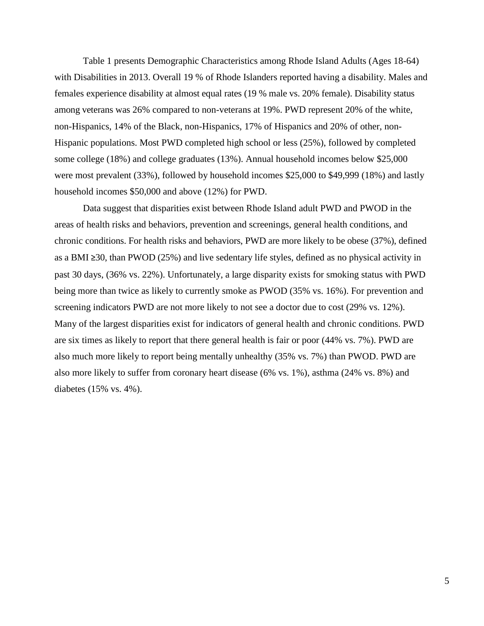Table 1 presents Demographic Characteristics among Rhode Island Adults (Ages 18-64) with Disabilities in 2013. Overall 19 % of Rhode Islanders reported having a disability. Males and females experience disability at almost equal rates (19 % male vs. 20% female). Disability status among veterans was 26% compared to non-veterans at 19%. PWD represent 20% of the white, non-Hispanics, 14% of the Black, non-Hispanics, 17% of Hispanics and 20% of other, non-Hispanic populations. Most PWD completed high school or less (25%), followed by completed some college (18%) and college graduates (13%). Annual household incomes below \$25,000 were most prevalent (33%), followed by household incomes \$25,000 to \$49,999 (18%) and lastly household incomes \$50,000 and above (12%) for PWD.

Data suggest that disparities exist between Rhode Island adult PWD and PWOD in the areas of health risks and behaviors, prevention and screenings, general health conditions, and chronic conditions. For health risks and behaviors, PWD are more likely to be obese (37%), defined as a BMI ≥30, than PWOD (25%) and live sedentary life styles, defined as no physical activity in past 30 days, (36% vs. 22%). Unfortunately, a large disparity exists for smoking status with PWD being more than twice as likely to currently smoke as PWOD (35% vs. 16%). For prevention and screening indicators PWD are not more likely to not see a doctor due to cost (29% vs. 12%). Many of the largest disparities exist for indicators of general health and chronic conditions. PWD are six times as likely to report that there general health is fair or poor (44% vs. 7%). PWD are also much more likely to report being mentally unhealthy (35% vs. 7%) than PWOD. PWD are also more likely to suffer from coronary heart disease (6% vs. 1%), asthma (24% vs. 8%) and diabetes (15% vs. 4%).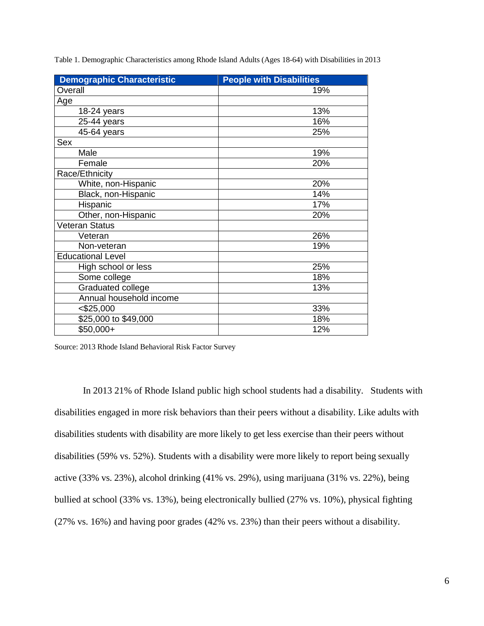|  |  | Table 1. Demographic Characteristics among Rhode Island Adults (Ages 18-64) with Disabilities in 2013 |
|--|--|-------------------------------------------------------------------------------------------------------|
|  |  |                                                                                                       |

| <b>Demographic Characteristic</b> | <b>People with Disabilities</b> |
|-----------------------------------|---------------------------------|
| Overall                           | 19%                             |
| Age                               |                                 |
| 18-24 years                       | 13%                             |
| 25-44 years                       | 16%                             |
| 45-64 years                       | 25%                             |
| Sex                               |                                 |
| Male                              | 19%                             |
| Female                            | 20%                             |
| Race/Ethnicity                    |                                 |
| White, non-Hispanic               | 20%                             |
| Black, non-Hispanic               | 14%                             |
| Hispanic                          | 17%                             |
| Other, non-Hispanic               | 20%                             |
| Veteran Status                    |                                 |
| Veteran                           | 26%                             |
| Non-veteran                       | 19%                             |
| <b>Educational Level</b>          |                                 |
| High school or less               | 25%                             |
| Some college                      | 18%                             |
| Graduated college                 | 13%                             |
| Annual household income           |                                 |
| $<$ \$25,000                      | 33%                             |
| \$25,000 to \$49,000              | 18%                             |
| $$50,000+$                        | 12%                             |

Source: 2013 Rhode Island Behavioral Risk Factor Survey

In 2013 21% of Rhode Island public high school students had a disability. Students with disabilities engaged in more risk behaviors than their peers without a disability. Like adults with disabilities students with disability are more likely to get less exercise than their peers without disabilities (59% vs. 52%). Students with a disability were more likely to report being sexually active (33% vs. 23%), alcohol drinking (41% vs. 29%), using marijuana (31% vs. 22%), being bullied at school (33% vs. 13%), being electronically bullied (27% vs. 10%), physical fighting (27% vs. 16%) and having poor grades (42% vs. 23%) than their peers without a disability.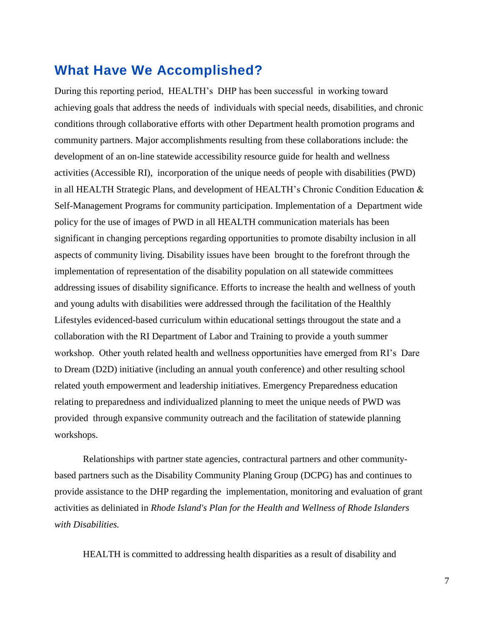## **What Have We Accomplished?**

During this reporting period, HEALTH's DHP has been successful in working toward achieving goals that address the needs of individuals with special needs, disabilities, and chronic conditions through collaborative efforts with other Department health promotion programs and community partners. Major accomplishments resulting from these collaborations include: the development of an on-line statewide accessibility resource guide for health and wellness activities (Accessible RI), incorporation of the unique needs of people with disabilities (PWD) in all HEALTH Strategic Plans, and development of HEALTH's Chronic Condition Education  $\&$ Self-Management Programs for community participation. Implementation of a Department wide policy for the use of images of PWD in all HEALTH communication materials has been significant in changing perceptions regarding opportunities to promote disabilty inclusion in all aspects of community living. Disability issues have been brought to the forefront through the implementation of representation of the disability population on all statewide committees addressing issues of disability significance. Efforts to increase the health and wellness of youth and young adults with disabilities were addressed through the facilitation of the Healthly Lifestyles evidenced-based curriculum within educational settings througout the state and a collaboration with the RI Department of Labor and Training to provide a youth summer workshop. Other youth related health and wellness opportunities have emerged from RI's Dare to Dream (D2D) initiative (including an annual youth conference) and other resulting school related youth empowerment and leadership initiatives. Emergency Preparedness education relating to preparedness and individualized planning to meet the unique needs of PWD was provided through expansive community outreach and the facilitation of statewide planning workshops.

Relationships with partner state agencies, contractural partners and other communitybased partners such as the Disability Community Planing Group (DCPG) has and continues to provide assistance to the DHP regarding the implementation, monitoring and evaluation of grant activities as deliniated in *Rhode Island's Plan for the Health and Wellness of Rhode Islanders with Disabilities.* 

HEALTH is committed to addressing health disparities as a result of disability and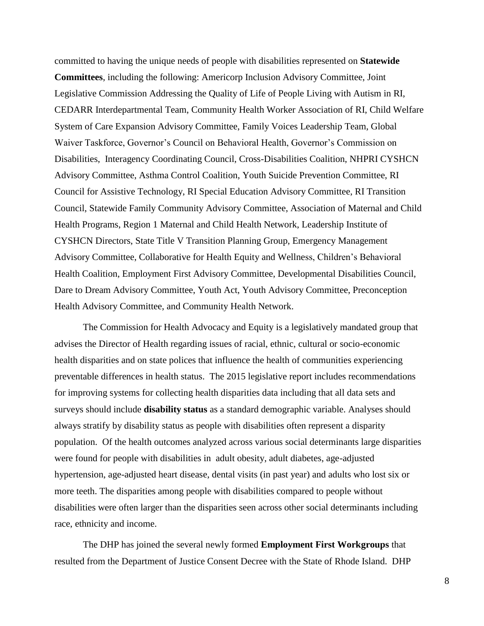committed to having the unique needs of people with disabilities represented on **Statewide Committees**, including the following: Americorp Inclusion Advisory Committee, Joint Legislative Commission Addressing the Quality of Life of People Living with Autism in RI, CEDARR Interdepartmental Team, Community Health Worker Association of RI, Child Welfare System of Care Expansion Advisory Committee, Family Voices Leadership Team, Global Waiver Taskforce, Governor's Council on Behavioral Health, Governor's Commission on Disabilities, Interagency Coordinating Council, Cross-Disabilities Coalition, NHPRI CYSHCN Advisory Committee, Asthma Control Coalition, Youth Suicide Prevention Committee, RI Council for Assistive Technology, RI Special Education Advisory Committee, RI Transition Council, Statewide Family Community Advisory Committee, Association of Maternal and Child Health Programs, Region 1 Maternal and Child Health Network, Leadership Institute of CYSHCN Directors, State Title V Transition Planning Group, Emergency Management Advisory Committee, Collaborative for Health Equity and Wellness, Children's Behavioral Health Coalition, Employment First Advisory Committee, Developmental Disabilities Council, Dare to Dream Advisory Committee, Youth Act, Youth Advisory Committee, Preconception Health Advisory Committee, and Community Health Network.

The Commission for Health Advocacy and Equity is a legislatively mandated group that advises the Director of Health regarding issues of racial, ethnic, cultural or socio-economic health disparities and on state polices that influence the health of communities experiencing preventable differences in health status. The 2015 legislative report includes recommendations for improving systems for collecting health disparities data including that all data sets and surveys should include **disability status** as a standard demographic variable. Analyses should always stratify by disability status as people with disabilities often represent a disparity population. Of the health outcomes analyzed across various social determinants large disparities were found for people with disabilities in adult obesity, adult diabetes, age-adjusted hypertension, age-adjusted heart disease, dental visits (in past year) and adults who lost six or more teeth. The disparities among people with disabilities compared to people without disabilities were often larger than the disparities seen across other social determinants including race, ethnicity and income.

The DHP has joined the several newly formed **Employment First Workgroups** that resulted from the Department of Justice Consent Decree with the State of Rhode Island. DHP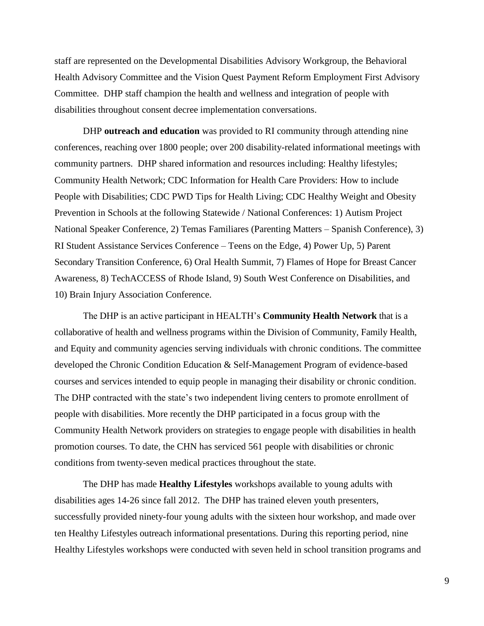staff are represented on the Developmental Disabilities Advisory Workgroup, the Behavioral Health Advisory Committee and the Vision Quest Payment Reform Employment First Advisory Committee. DHP staff champion the health and wellness and integration of people with disabilities throughout consent decree implementation conversations.

DHP **outreach and education** was provided to RI community through attending nine conferences, reaching over 1800 people; over 200 disability-related informational meetings with community partners. DHP shared information and resources including: Healthy lifestyles; Community Health Network; CDC Information for Health Care Providers: How to include People with Disabilities; CDC PWD Tips for Health Living; CDC Healthy Weight and Obesity Prevention in Schools at the following Statewide / National Conferences: 1) Autism Project National Speaker Conference, 2) Temas Familiares (Parenting Matters – Spanish Conference), 3) RI Student Assistance Services Conference – Teens on the Edge, 4) Power Up, 5) Parent Secondary Transition Conference, 6) Oral Health Summit, 7) Flames of Hope for Breast Cancer Awareness, 8) TechACCESS of Rhode Island, 9) South West Conference on Disabilities, and 10) Brain Injury Association Conference.

The DHP is an active participant in HEALTH's **Community Health Network** that is a collaborative of health and wellness programs within the Division of Community, Family Health, and Equity and community agencies serving individuals with chronic conditions. The committee developed the Chronic Condition Education & Self-Management Program of evidence-based courses and services intended to equip people in managing their disability or chronic condition. The DHP contracted with the state's two independent living centers to promote enrollment of people with disabilities. More recently the DHP participated in a focus group with the Community Health Network providers on strategies to engage people with disabilities in health promotion courses. To date, the CHN has serviced 561 people with disabilities or chronic conditions from twenty-seven medical practices throughout the state.

The DHP has made **Healthy Lifestyles** workshops available to young adults with disabilities ages 14-26 since fall 2012. The DHP has trained eleven youth presenters, successfully provided ninety-four young adults with the sixteen hour workshop, and made over ten Healthy Lifestyles outreach informational presentations. During this reporting period, nine Healthy Lifestyles workshops were conducted with seven held in school transition programs and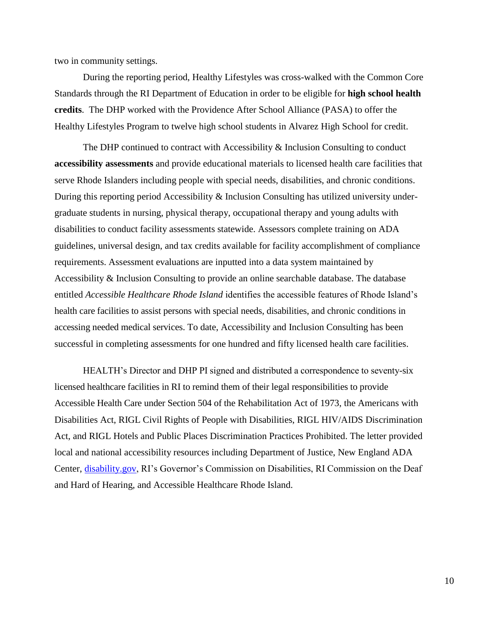two in community settings.

During the reporting period, Healthy Lifestyles was cross-walked with the Common Core Standards through the RI Department of Education in order to be eligible for **high school health credits**. The DHP worked with the Providence After School Alliance (PASA) to offer the Healthy Lifestyles Program to twelve high school students in Alvarez High School for credit.

The DHP continued to contract with Accessibility & Inclusion Consulting to conduct **accessibility assessments** and provide educational materials to licensed health care facilities that serve Rhode Islanders including people with special needs, disabilities, and chronic conditions. During this reporting period Accessibility & Inclusion Consulting has utilized university undergraduate students in nursing, physical therapy, occupational therapy and young adults with disabilities to conduct facility assessments statewide. Assessors complete training on ADA guidelines, universal design, and tax credits available for facility accomplishment of compliance requirements. Assessment evaluations are inputted into a data system maintained by Accessibility & Inclusion Consulting to provide an online searchable database. The database entitled *Accessible Healthcare Rhode Island* identifies the accessible features of Rhode Island's health care facilities to assist persons with special needs, disabilities, and chronic conditions in accessing needed medical services. To date, Accessibility and Inclusion Consulting has been successful in completing assessments for one hundred and fifty licensed health care facilities.

HEALTH's Director and DHP PI signed and distributed a correspondence to seventy-six licensed healthcare facilities in RI to remind them of their legal responsibilities to provide Accessible Health Care under Section 504 of the Rehabilitation Act of 1973, the Americans with Disabilities Act, RIGL Civil Rights of People with Disabilities, RIGL HIV/AIDS Discrimination Act, and RIGL Hotels and Public Places Discrimination Practices Prohibited. The letter provided local and national accessibility resources including Department of Justice, New England ADA Center, [disability.gov,](http://disability.gov/) RI's Governor's Commission on Disabilities, RI Commission on the Deaf and Hard of Hearing, and Accessible Healthcare Rhode Island.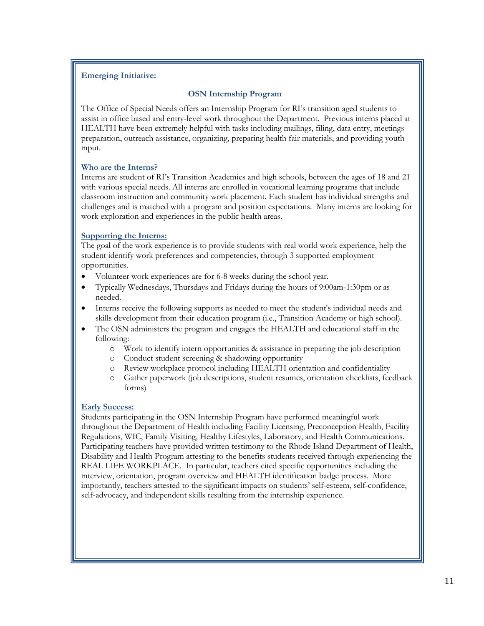#### **Emerging Initiative:**

#### **OSN Internship Program**

The Office of Special Needs offers an Internship Program for RI's transition aged students to assist in office based and entry-level work throughout the Department. Previous interns placed at HEALTH have been extremely helpful with tasks including mailings, filing, data entry, meetings preparation, outreach assistance, organizing, preparing health fair materials, and providing youth input.

#### **Who are the Interns?**

Interns are student of RI's Transition Academies and high schools, between the ages of 18 and 21 with various special needs. All interns are enrolled in vocational learning programs that include classroom instruction and community work placement. Each student has individual strengths and challenges and is matched with a program and position expectations. Many interns are looking for work exploration and experiences in the public health areas.

#### **Supporting the Interns:**

The goal of the work experience is to provide students with real world work experience, help the student identify work preferences and competencies, through 3 supported employment opportunities.

- Volunteer work experiences are for 6-8 weeks during the school year.
- Typically Wednesdays, Thursdays and Fridays during the hours of 9:00am-1:30pm or as needed.
- Interns receive the following supports as needed to meet the student's individual needs and skills development from their education program (i.e., Transition Academy or high school).
- The OSN administers the program and engages the HEALTH and educational staff in the following:
	- o Work to identify intern opportunities & assistance in preparing the job description
	- o Conduct student screening & shadowing opportunity
	- o Review workplace protocol including HEALTH orientation and confidentiality
	- o Gather paperwork (job descriptions, student resumes, orientation checklists, feedback forms)

#### **Early Success:**

Students participating in the OSN Internship Program have performed meaningful work throughout the Department of Health including Facility Licensing, Preconception Health, Facility Regulations, WIC, Family Visiting, Healthy Lifestyles, Laboratory, and Health Communications. Participating teachers have provided written testimony to the Rhode Island Department of Health, Disability and Health Program attesting to the benefits students received through experiencing the REAL LIFE WORKPLACE. In particular, teachers cited specific opportunities including the interview, orientation, program overview and HEALTH identification badge process. More importantly, teachers attested to the significant impacts on students' self-esteem, self-confidence, self-advocacy, and independent skills resulting from the internship experience.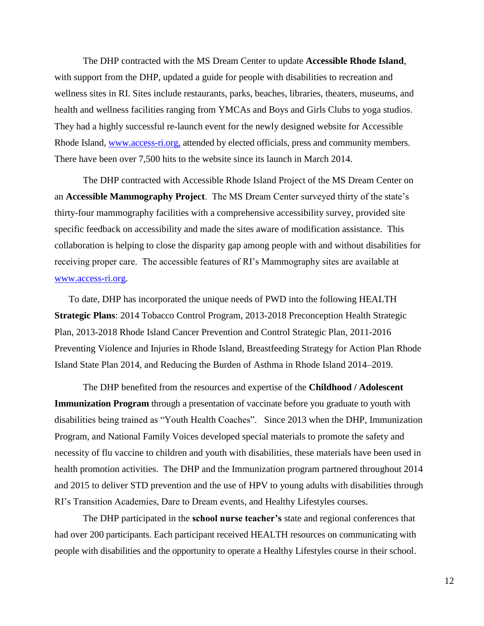The DHP contracted with the MS Dream Center to update **Accessible Rhode Island**, with support from the DHP, updated a guide for people with disabilities to recreation and wellness sites in RI. Sites include restaurants, parks, beaches, libraries, theaters, museums, and health and wellness facilities ranging from YMCAs and Boys and Girls Clubs to yoga studios. They had a highly successful re-launch event for the newly designed website for Accessible Rhode Island, [www.access-ri.org,](http://www.access-ri.org/) attended by elected officials, press and community members. There have been over 7,500 hits to the website since its launch in March 2014.

The DHP contracted with Accessible Rhode Island Project of the MS Dream Center on an **Accessible Mammography Project**. The MS Dream Center surveyed thirty of the state's thirty-four mammography facilities with a comprehensive accessibility survey, provided site specific feedback on accessibility and made the sites aware of modification assistance. This collaboration is helping to close the disparity gap among people with and without disabilities for receiving proper care. The accessible features of RI's Mammography sites are available at [www.access-ri.org.](http://www.access-ri.org/)

To date, DHP has incorporated the unique needs of PWD into the following HEALTH **Strategic Plans**: 2014 Tobacco Control Program, 2013-2018 Preconception Health Strategic Plan, 2013-2018 Rhode Island Cancer Prevention and Control Strategic Plan, 2011-2016 Preventing Violence and Injuries in Rhode Island, Breastfeeding Strategy for Action Plan Rhode Island State Plan 2014, and Reducing the Burden of Asthma in Rhode Island 2014–2019.

The DHP benefited from the resources and expertise of the **Childhood / Adolescent Immunization Program** through a presentation of vaccinate before you graduate to youth with disabilities being trained as "Youth Health Coaches". Since 2013 when the DHP, Immunization Program, and National Family Voices developed special materials to promote the safety and necessity of flu vaccine to children and youth with disabilities, these materials have been used in health promotion activities. The DHP and the Immunization program partnered throughout 2014 and 2015 to deliver STD prevention and the use of HPV to young adults with disabilities through RI's Transition Academies, Dare to Dream events, and Healthy Lifestyles courses.

The DHP participated in the **school nurse teacher's** state and regional conferences that had over 200 participants. Each participant received HEALTH resources on communicating with people with disabilities and the opportunity to operate a Healthy Lifestyles course in their school.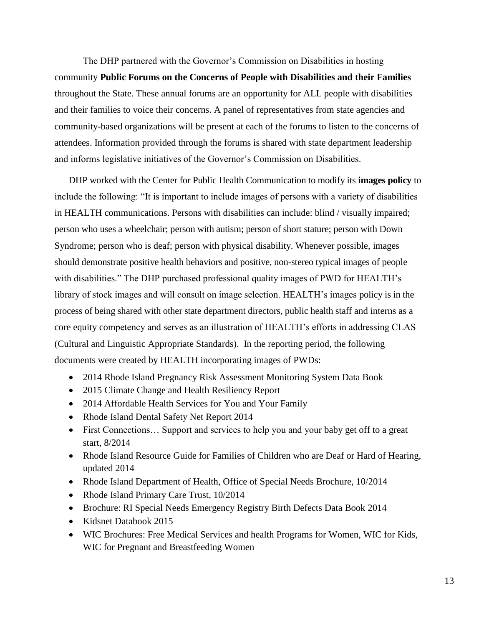The DHP partnered with the Governor's Commission on Disabilities in hosting community **Public Forums on the Concerns of People with Disabilities and their Families** throughout the State. These annual forums are an opportunity for ALL people with disabilities and their families to voice their concerns. A panel of representatives from state agencies and community-based organizations will be present at each of the forums to listen to the concerns of attendees. Information provided through the forums is shared with state department leadership and informs legislative initiatives of the Governor's Commission on Disabilities.

DHP worked with the Center for Public Health Communication to modify its **images policy** to include the following: "It is important to include images of persons with a variety of disabilities in HEALTH communications. Persons with disabilities can include: blind / visually impaired; person who uses a wheelchair; person with autism; person of short stature; person with Down Syndrome; person who is deaf; person with physical disability. Whenever possible, images should demonstrate positive health behaviors and positive, non-stereo typical images of people with disabilities." The DHP purchased professional quality images of PWD for HEALTH's library of stock images and will consult on image selection. HEALTH's images policy is in the process of being shared with other state department directors, public health staff and interns as a core equity competency and serves as an illustration of HEALTH's efforts in addressing CLAS (Cultural and Linguistic Appropriate Standards). In the reporting period, the following documents were created by HEALTH incorporating images of PWDs:

- 2014 Rhode Island Pregnancy Risk Assessment Monitoring System Data Book
- 2015 Climate Change and Health Resiliency Report
- 2014 Affordable Health Services for You and Your Family
- Rhode Island Dental Safety Net Report 2014
- First Connections... Support and services to help you and your baby get off to a great start, 8/2014
- Rhode Island Resource Guide for Families of Children who are Deaf or Hard of Hearing, updated 2014
- Rhode Island Department of Health, Office of Special Needs Brochure, 10/2014
- Rhode Island Primary Care Trust, 10/2014
- Brochure: RI Special Needs Emergency Registry Birth Defects Data Book 2014
- Kidsnet Databook 2015
- WIC Brochures: Free Medical Services and health Programs for Women, WIC for Kids, WIC for Pregnant and Breastfeeding Women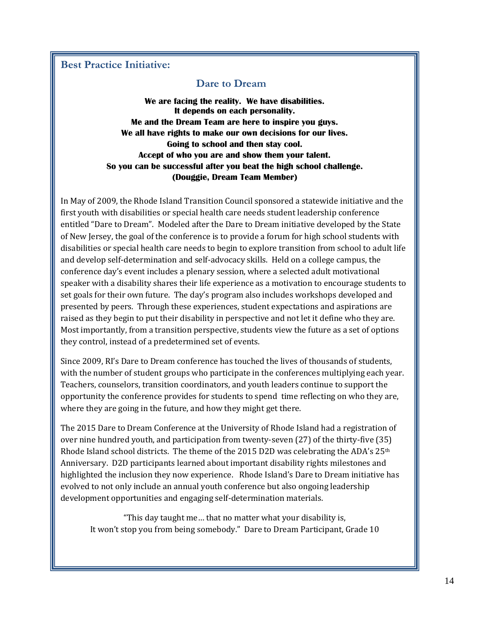#### **Best Practice Initiative:**

#### **Dare to Dream**

**We are facing the reality. We have disabilities. It depends on each personality. Me and the Dream Team are here to inspire you guys. We all have rights to make our own decisions for our lives. Going to school and then stay cool. Accept of who you are and show them your talent. So you can be successful after you beat the high school challenge. (Douggie, Dream Team Member)**

In May of 2009, the Rhode Island Transition Council sponsored a statewide initiative and the first youth with disabilities or special health care needs student leadership conference entitled "Dare to Dream". Modeled after the Dare to Dream initiative developed by the State of New Jersey, the goal of the conference is to provide a forum for high school students with disabilities or special health care needs to begin to explore transition from school to adult life and develop self-determination and self-advocacy skills. Held on a college campus, the conference day's event includes a plenary session, where a selected adult motivational speaker with a disability shares their life experience as a motivation to encourage students to set goals for their own future. The day's program also includes workshops developed and presented by peers. Through these experiences, student expectations and aspirations are raised as they begin to put their disability in perspective and not let it define who they are. Most importantly, from a transition perspective, students view the future as a set of options they control, instead of a predetermined set of events.

Since 2009, RI's Dare to Dream conference has touched the lives of thousands of students, with the number of student groups who participate in the conferences multiplying each year. Teachers, counselors, transition coordinators, and youth leaders continue to support the opportunity the conference provides for students to spend time reflecting on who they are, where they are going in the future, and how they might get there.

The 2015 Dare to Dream Conference at the University of Rhode Island had a registration of over nine hundred youth, and participation from twenty-seven (27) of the thirty-five (35) Rhode Island school districts. The theme of the 2015 D2D was celebrating the ADA's 25th Anniversary. D2D participants learned about important disability rights milestones and highlighted the inclusion they now experience. Rhode Island's Dare to Dream initiative has evolved to not only include an annual youth conference but also ongoing leadership development opportunities and engaging self-determination materials.

"This day taught me… that no matter what your disability is, It won't stop you from being somebody." Dare to Dream Participant, Grade 10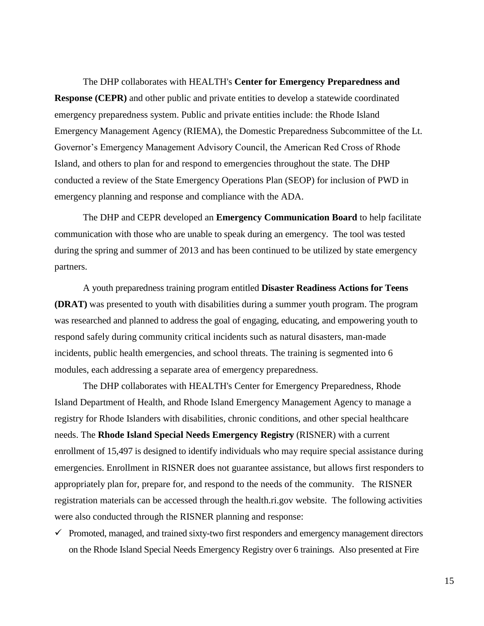The DHP collaborates with HEALTH's **Center for Emergency Preparedness and Response (CEPR)** and other public and private entities to develop a statewide coordinated emergency preparedness system. Public and private entities include: the Rhode Island Emergency Management Agency (RIEMA), the Domestic Preparedness Subcommittee of the Lt. Governor's Emergency Management Advisory Council, the American Red Cross of Rhode Island, and others to plan for and respond to emergencies throughout the state. The DHP conducted a review of the State Emergency Operations Plan (SEOP) for inclusion of PWD in emergency planning and response and compliance with the ADA.

The DHP and CEPR developed an **Emergency Communication Board** to help facilitate communication with those who are unable to speak during an emergency. The tool was tested during the spring and summer of 2013 and has been continued to be utilized by state emergency partners.

A youth preparedness training program entitled **Disaster Readiness Actions for Teens (DRAT)** was presented to youth with disabilities during a summer youth program. The program was researched and planned to address the goal of engaging, educating, and empowering youth to respond safely during community critical incidents such as natural disasters, man-made incidents, public health emergencies, and school threats. The training is segmented into 6 modules, each addressing a separate area of emergency preparedness.

The DHP collaborates with HEALTH's Center for Emergency Preparedness, Rhode Island Department of Health, and Rhode Island Emergency Management Agency to manage a registry for Rhode Islanders with disabilities, chronic conditions, and other special healthcare needs. The **Rhode Island Special Needs Emergency Registry** (RISNER) with a current enrollment of 15,497 is designed to identify individuals who may require special assistance during emergencies. Enrollment in RISNER does not guarantee assistance, but allows first responders to appropriately plan for, prepare for, and respond to the needs of the community. The RISNER registration materials can be accessed through the health.ri.gov website. The following activities were also conducted through the RISNER planning and response:

 $\checkmark$  Promoted, managed, and trained sixty-two first responders and emergency management directors on the Rhode Island Special Needs Emergency Registry over 6 trainings. Also presented at Fire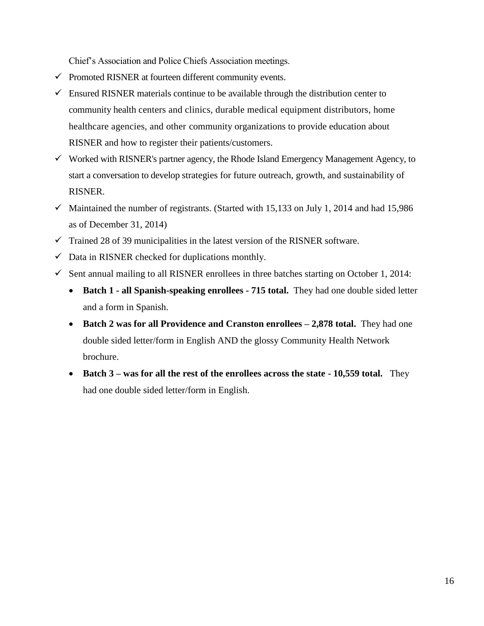Chief's Association and Police Chiefs Association meetings.

- $\checkmark$  Promoted RISNER at fourteen different community events.
- $\checkmark$  Ensured RISNER materials continue to be available through the distribution center to community health centers and clinics, durable medical equipment distributors, home healthcare agencies, and other community organizations to provide education about RISNER and how to register their patients/customers.
- $\checkmark$  Worked with RISNER's partner agency, the Rhode Island Emergency Management Agency, to start a conversation to develop strategies for future outreach, growth, and sustainability of RISNER.
- $\checkmark$  Maintained the number of registrants. (Started with 15,133 on July 1, 2014 and had 15,986 as of December 31, 2014)
- $\checkmark$  Trained 28 of 39 municipalities in the latest version of the RISNER software.
- $\checkmark$  Data in RISNER checked for duplications monthly.
- $\checkmark$  Sent annual mailing to all RISNER enrollees in three batches starting on October 1, 2014:
	- **Batch 1 - all Spanish-speaking enrollees - 715 total.** They had one double sided letter and a form in Spanish.
	- **Batch 2 was for all Providence and Cranston enrollees – 2,878 total.** They had one double sided letter/form in English AND the glossy Community Health Network brochure.
	- **Batch 3 – was for all the rest of the enrollees across the state - 10,559 total.** They had one double sided letter/form in English.